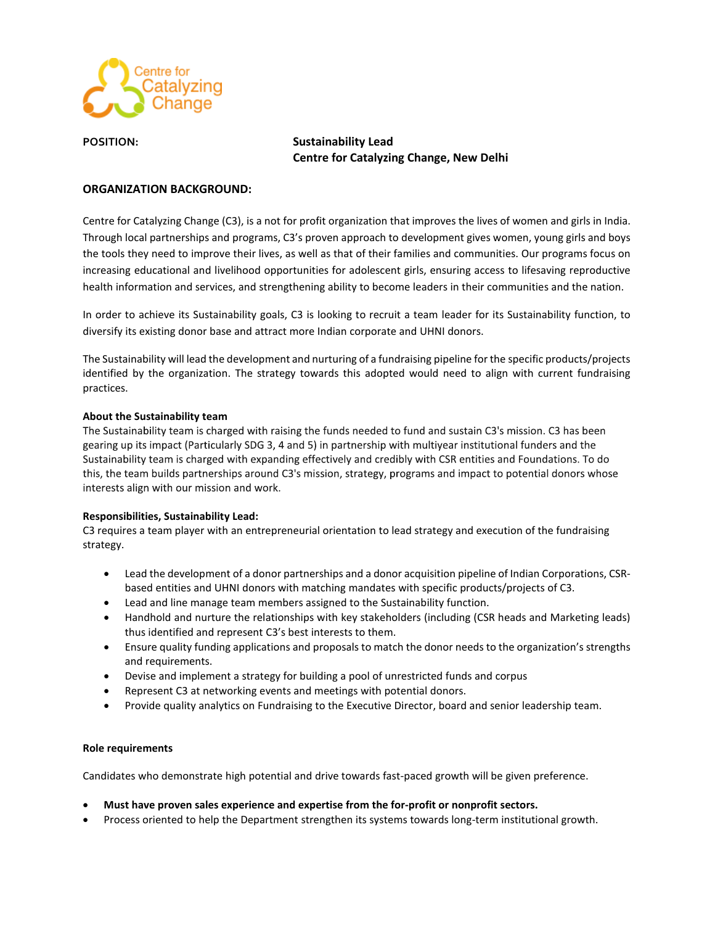

# **POSITION: Sustainability Lead Centre for Catalyzing Change, New Delhi**

## **ORGANIZATION BACKGROUND:**

Centre for Catalyzing Change (C3), is a not for profit organization that improves the lives of women and girls in India. Through local partnerships and programs, C3's proven approach to development gives women, young girls and boys the tools they need to improve their lives, as well as that of their families and communities. Our programs focus on increasing educational and livelihood opportunities for adolescent girls, ensuring access to lifesaving reproductive health information and services, and strengthening ability to become leaders in their communities and the nation.

In order to achieve its Sustainability goals, C3 is looking to recruit a team leader for its Sustainability function, to diversify its existing donor base and attract more Indian corporate and UHNI donors.

The Sustainability will lead the development and nurturing of a fundraising pipeline for the specific products/projects identified by the organization. The strategy towards this adopted would need to align with current fundraising practices.

### **About the Sustainability team**

The Sustainability team is charged with raising the funds needed to fund and sustain C3's mission. C3 has been gearing up its impact (Particularly SDG 3, 4 and 5) in partnership with multiyear institutional funders and the Sustainability team is charged with expanding effectively and credibly with CSR entities and Foundations. To do this, the team builds partnerships around C3's mission, strategy, programs and impact to potential donors whose interests align with our mission and work.

### **Responsibilities, Sustainability Lead:**

C3 requires a team player with an entrepreneurial orientation to lead strategy and execution of the fundraising strategy.

- Lead the development of a donor partnerships and a donor acquisition pipeline of Indian Corporations, CSRbased entities and UHNI donors with matching mandates with specific products/projects of C3.
- Lead and line manage team members assigned to the Sustainability function.
- Handhold and nurture the relationships with key stakeholders (including (CSR heads and Marketing leads) thus identified and represent C3's best interests to them.
- Ensure quality funding applications and proposals to match the donor needs to the organization's strengths and requirements.
- Devise and implement a strategy for building a pool of unrestricted funds and corpus
- Represent C3 at networking events and meetings with potential donors.
- Provide quality analytics on Fundraising to the Executive Director, board and senior leadership team.

### **Role requirements**

Candidates who demonstrate high potential and drive towards fast-paced growth will be given preference.

- **Must have proven sales experience and expertise from the for-profit or nonprofit sectors.**
- Process oriented to help the Department strengthen its systems towards long-term institutional growth.